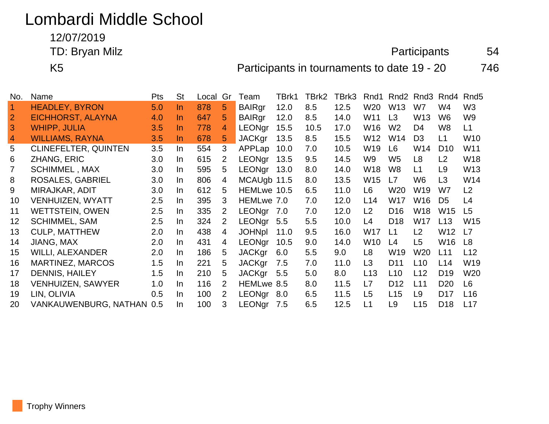## Lombardi Middle School

12/07/2019

TD: Bryan Milz 64

K5 **Participants in tournaments to date 19 - 20** 746

| No.            | Name                        | <b>Pts</b> | <b>St</b> | Local | Gr             | Team          | TBrk1 | TBrk2 | TBrk3 | Rnd1            | Rnd <sub>2</sub> | Rnd <sub>3</sub> | Rnd4            | Rnd <sub>5</sub> |
|----------------|-----------------------------|------------|-----------|-------|----------------|---------------|-------|-------|-------|-----------------|------------------|------------------|-----------------|------------------|
| $\overline{1}$ | <b>HEADLEY, BYRON</b>       | 5.0        | In.       | 878   | 5              | <b>BAIRgr</b> | 12.0  | 8.5   | 12.5  | W20             | W <sub>13</sub>  | W7               | W4              | W <sub>3</sub>   |
| $\overline{2}$ | EICHHORST, ALAYNA           | 4.0        | <u>In</u> | 647   | 5              | <b>BAIRgr</b> | 12.0  | 8.5   | 14.0  | W11             | L3               | W <sub>13</sub>  | W <sub>6</sub>  | W <sub>9</sub>   |
| 3              | <b>WHIPP, JULIA</b>         | 3.5        | <u>In</u> | 778   | 4              | <b>LEONgr</b> | 15.5  | 10.5  | 17.0  | W16             | W <sub>2</sub>   | D <sub>4</sub>   | W8              | L1               |
| $\overline{4}$ | <b>WILLIAMS, RAYNA</b>      | 3.5        | In.       | 678   | 5              | <b>JACKgr</b> | 13.5  | 8.5   | 15.5  | W12             | W14              | D <sub>3</sub>   | L1              | W10              |
| 5              | <b>CLINEFELTER, QUINTEN</b> | 3.5        | $\ln$     | 554   | 3              | APPLap        | 10.0  | 7.0   | 10.5  | W19             | L <sub>6</sub>   | W14              | D <sub>10</sub> | W11              |
| 6              | <b>ZHANG, ERIC</b>          | 3.0        | In.       | 615   | $\overline{2}$ | LEONgr        | 13.5  | 9.5   | 14.5  | W9              | W <sub>5</sub>   | L <sub>8</sub>   | L2              | <b>W18</b>       |
| 7              | <b>SCHIMMEL, MAX</b>        | 3.0        | In.       | 595   | 5              | <b>LEONgr</b> | 13.0  | 8.0   | 14.0  | W18             | W <sub>8</sub>   | L1               | L9              | W <sub>13</sub>  |
| 8              | ROSALES, GABRIEL            | 3.0        | In.       | 806   | 4              | MCAUgb 11.5   |       | 8.0   | 13.5  | W15             | L7               | W6               | L3              | W14              |
| 9              | MIRAJKAR, ADIT              | 3.0        | In.       | 612   | 5              | HEMLwe 10.5   |       | 6.5   | 11.0  | L6              | W20              | W19              | W7              | L2               |
| 10             | VENHUIZEN, WYATT            | 2.5        | In.       | 395   | 3              | HEMLwe 7.0    |       | 7.0   | 12.0  | L14             | W17              | W16              | D <sub>5</sub>  | L4               |
| 11             | <b>WETTSTEIN, OWEN</b>      | 2.5        | In.       | 335   | 2              | LEONgr        | 7.0   | 7.0   | 12.0  | L2              | D <sub>16</sub>  | W18              | W <sub>15</sub> | L5               |
| 12             | <b>SCHIMMEL, SAM</b>        | 2.5        | In.       | 324   | 2              | <b>LEONgr</b> | 5.5   | 5.5   | 10.0  | L4              | D <sub>18</sub>  | W17              | L13             | W15              |
| 13             | <b>CULP, MATTHEW</b>        | 2.0        | In.       | 438   | 4              | <b>JOHNpl</b> | 11.0  | 9.5   | 16.0  | W17             | L1               | L2               | W12             | L7               |
| 14             | <b>JIANG, MAX</b>           | 2.0        | In.       | 431   | 4              | LEONgr        | 10.5  | 9.0   | 14.0  | W <sub>10</sub> | L4               | L5               | W16             | L8               |
| 15             | <b>WILLI, ALEXANDER</b>     | 2.0        | In.       | 186   | 5              | <b>JACKgr</b> | 6.0   | 5.5   | 9.0   | L8              | W19              | W <sub>20</sub>  | L11             | L12              |
| 16             | <b>MARTINEZ, MARCOS</b>     | 1.5        | In.       | 221   | 5              | <b>JACKgr</b> | 7.5   | 7.0   | 11.0  | L3              | D <sub>11</sub>  | L10              | L14             | W19              |
| 17             | <b>DENNIS, HAILEY</b>       | 1.5        | In.       | 210   | 5.             | <b>JACKgr</b> | 5.5   | 5.0   | 8.0   | L <sub>13</sub> | L <sub>10</sub>  | L12              | D <sub>19</sub> | W <sub>20</sub>  |
| 18             | <b>VENHUIZEN, SAWYER</b>    | 1.0        | In.       | 116   | 2              | HEMLwe 8.5    |       | 8.0   | 11.5  | L7              | D <sub>12</sub>  | L11              | D <sub>20</sub> | L <sub>6</sub>   |
| 19             | LIN, OLIVIA                 | 0.5        | $\ln$     | 100   | $\overline{2}$ | LEONgr 8.0    |       | 6.5   | 11.5  | L <sub>5</sub>  | L15              | L9               | D <sub>17</sub> | L16              |
| 20             | VANKAUWENBURG, NATHAN 0.5   |            | In.       | 100   | 3              | LEONgr        | 7.5   | 6.5   | 12.5  | L1              | L <sub>9</sub>   | L15              | D <sub>18</sub> | L17              |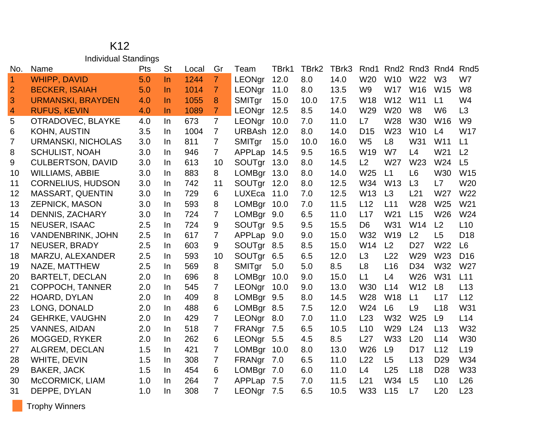## K12 Individual Standings

| No.            | Name                      | Pts | <b>St</b> | Local | Gr             | Team          | TBrk1 | TBrk2 | TBrk3 | Rnd1            |                 | Rnd <sub>2</sub> Rnd <sub>3</sub> | Rnd4            | Rnd <sub>5</sub> |
|----------------|---------------------------|-----|-----------|-------|----------------|---------------|-------|-------|-------|-----------------|-----------------|-----------------------------------|-----------------|------------------|
| $\overline{1}$ | <b>WHIPP, DAVID</b>       | 5.0 | $\ln$     | 1244  | 7              | <b>LEONar</b> | 12.0  | 8.0   | 14.0  | W <sub>20</sub> | <b>W10</b>      | W <sub>22</sub>                   | W <sub>3</sub>  | W7               |
| $\overline{2}$ | <b>BECKER, ISAIAH</b>     | 5.0 | In.       | 1014  | $\overline{7}$ | <b>LEONgr</b> | 11.0  | 8.0   | 13.5  | W <sub>9</sub>  | <b>W17</b>      | W16                               | W15             | W <sub>8</sub>   |
| 3              | <b>URMANSKI, BRAYDEN</b>  | 4.0 | In.       | 1055  | 8              | SMITgr        | 15.0  | 10.0  | 17.5  | W <sub>18</sub> | W12             | W11                               | L1              | W <sub>4</sub>   |
| $\overline{a}$ | <b>RUFUS, KEVIN</b>       | 4.0 | In.       | 1089  | 7              | LEONgr        | 12.5  | 8.5   | 14.0  | W29             | W20             | W <sub>8</sub>                    | W <sub>6</sub>  | L3               |
| 5              | OTRADOVEC, BLAYKE         | 4.0 | In.       | 673   | $\overline{7}$ | LEONgr        | 10.0  | 7.0   | 11.0  | L7              | W28             | <b>W30</b>                        | W <sub>16</sub> | W <sub>9</sub>   |
| 6              | <b>KOHN, AUSTIN</b>       | 3.5 | In.       | 1004  | 7              | <b>URBAsh</b> | 12.0  | 8.0   | 14.0  | D <sub>15</sub> | W <sub>23</sub> | W <sub>10</sub>                   | L4              | <b>W17</b>       |
| $\overline{7}$ | <b>URMANSKI, NICHOLAS</b> | 3.0 | In.       | 811   | $\overline{7}$ | SMITgr        | 15.0  | 10.0  | 16.0  | W <sub>5</sub>  | L <sub>8</sub>  | W31                               | W11             | L1               |
| 8              | <b>SCHULIST, NOAH</b>     | 3.0 | In.       | 946   | $\overline{7}$ | APPLap        | 14.5  | 9.5   | 16.5  | W <sub>19</sub> | W7              | L4                                | W21             | L <sub>2</sub>   |
| 9              | <b>CULBERTSON, DAVID</b>  | 3.0 | In.       | 613   | 10             | SOUTgr        | 13.0  | 8.0   | 14.5  | L2              | W <sub>27</sub> | W23                               | W24             | L5               |
| 10             | <b>WILLIAMS, ABBIE</b>    | 3.0 | In.       | 883   | 8              | <b>LOMBgr</b> | 13.0  | 8.0   | 14.0  | W25             | L1              | L <sub>6</sub>                    | W30             | W15              |
| 11             | <b>CORNELIUS, HUDSON</b>  | 3.0 | In.       | 742   | 11             | SOUTgr        | 12.0  | 8.0   | 12.5  | W34             | W <sub>13</sub> | L3                                | L7              | W <sub>20</sub>  |
| 12             | MASSART, QUENTIN          | 3.0 | In.       | 729   | 6              | LUXEca        | 11.0  | 7.0   | 12.5  | W <sub>13</sub> | L3              | L21                               | W27             | W22              |
| 13             | <b>ZEPNICK, MASON</b>     | 3.0 | In.       | 593   | 8              | <b>LOMBgr</b> | 10.0  | 7.0   | 11.5  | L12             | L11             | W28                               | W <sub>25</sub> | W21              |
| 14             | <b>DENNIS, ZACHARY</b>    | 3.0 | In.       | 724   | 7              | LOMBgr 9.0    |       | 6.5   | 11.0  | L17             | W <sub>21</sub> | L15                               | W <sub>26</sub> | W24              |
| 15             | <b>NEUSER, ISAAC</b>      | 2.5 | In.       | 724   | 9              | SOUTgr        | 9.5   | 9.5   | 15.5  | D <sub>6</sub>  | W31             | W14                               | L2              | L10              |
| 16             | VANDENBRINK, JOHN         | 2.5 | In.       | 617   | 7              | APPLap        | 9.0   | 9.0   | 15.0  | W32             | W19             | L <sub>2</sub>                    | L5              | D <sub>18</sub>  |
| 17             | <b>NEUSER, BRADY</b>      | 2.5 | In.       | 603   | 9              | SOUTgr 8.5    |       | 8.5   | 15.0  | W14             | L <sub>2</sub>  | D <sub>27</sub>                   | W22             | L <sub>6</sub>   |
| 18             | MARZU, ALEXANDER          | 2.5 | In.       | 593   | 10             | SOUTgr        | 6.5   | 6.5   | 12.0  | L3              | L22             | W29                               | W <sub>23</sub> | D <sub>16</sub>  |
| 19             | NAZE, MATTHEW             | 2.5 | In.       | 569   | 8              | SMITgr        | 5.0   | 5.0   | 8.5   | L <sub>8</sub>  | L16             | D34                               | W32             | W27              |
| 20             | <b>BARTELT, DECLAN</b>    | 2.0 | In        | 696   | 8              | LOMBgr        | 10.0  | 9.0   | 15.0  | L1              | L4              | W26                               | W31             | L11              |
| 21             | <b>COPPOCH, TANNER</b>    | 2.0 | In.       | 545   | 7              | <b>LEONgr</b> | 10.0  | 9.0   | 13.0  | W30             | L14             | W12                               | L8              | L13              |
| 22             | HOARD, DYLAN              | 2.0 | In.       | 409   | 8              | LOMBgr        | 9.5   | 8.0   | 14.5  | W28             | W <sub>18</sub> | L1                                | L17             | L12              |
| 23             | LONG, DONALD              | 2.0 | In.       | 488   | 6              | LOMBgr 8.5    |       | 7.5   | 12.0  | W24             | L <sub>6</sub>  | L <sub>9</sub>                    | L18             | W31              |
| 24             | <b>GEHRKE, VAUGHN</b>     | 2.0 | In.       | 429   | $\overline{7}$ | <b>LEONgr</b> | 8.0   | 7.0   | 11.0  | L23             | W32             | W <sub>25</sub>                   | L9              | L14              |
| 25             | <b>VANNES, AIDAN</b>      | 2.0 | In.       | 518   | 7              | FRANgr        | 7.5   | 6.5   | 10.5  | L10             | W29             | L24                               | L13             | W32              |
| 26             | <b>MOGGED, RYKER</b>      | 2.0 | In.       | 262   | 6              | LEONgr        | 5.5   | 4.5   | 8.5   | L27             | <b>W33</b>      | L20                               | L14             | <b>W30</b>       |
| 27             | ALGREM, DECLAN            | 1.5 | In.       | 421   | 7              | <b>LOMBgr</b> | 10.0  | 8.0   | 13.0  | W26             | L <sub>9</sub>  | D <sub>17</sub>                   | L12             | L <sub>19</sub>  |
| 28             | WHITE, DEVIN              | 1.5 | In.       | 308   | 7              | FRANgr        | 7.0   | 6.5   | 11.0  | L22             | L5              | L13                               | D <sub>29</sub> | W34              |
| 29             | <b>BAKER, JACK</b>        | 1.5 | In.       | 454   | 6              | <b>LOMBgr</b> | 7.0   | 6.0   | 11.0  | L4              | L25             | L18                               | D <sub>28</sub> | W33              |
| 30             | McCORMICK, LIAM           | 1.0 | In        | 264   | 7              | APPLap        | 7.5   | 7.0   | 11.5  | L21             | W34             | L <sub>5</sub>                    | L10             | L26              |
| 31             | DEPPE, DYLAN              | 1.0 | In.       | 308   | 7              | LEONgr        | 7.5   | 6.5   | 10.5  | W33             | L15             | L7                                | L20             | L23              |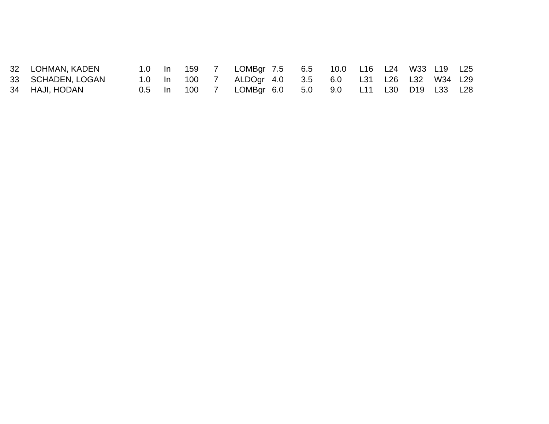| 32 LOHMAN, KADEN  | 1.0 In 159 |  | LOMBgr 7.5 6.5 10.0 L16 L24 W33 L19 L25 |  |  |  |  |
|-------------------|------------|--|-----------------------------------------|--|--|--|--|
| 33 SCHADEN, LOGAN | 1.0 ln 100 |  | ALDOgr 4.0 3.5 6.0 L31 L26 L32 W34 L29  |  |  |  |  |
| 34 HAJI, HODAN    | 0.5 ln 100 |  | LOMBgr 6.0 5.0 9.0 L11 L30 D19 L33 L28  |  |  |  |  |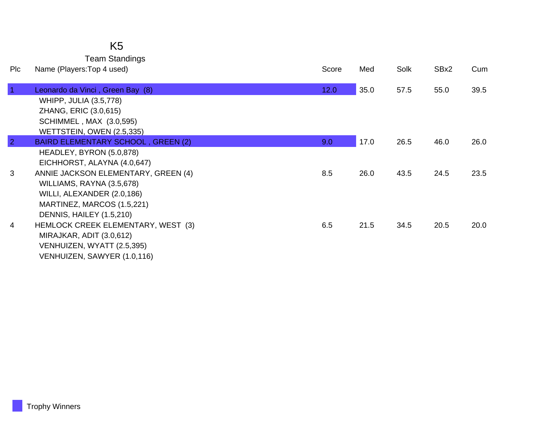## K5 Team Standings

| <b>Plc</b>     | Name (Players: Top 4 used)                                                                                                                                                              | Score | Med  | Solk | SBx2 | Cum  |
|----------------|-----------------------------------------------------------------------------------------------------------------------------------------------------------------------------------------|-------|------|------|------|------|
| $\overline{1}$ | Leonardo da Vinci, Green Bay (8)<br>WHIPP, JULIA (3.5,778)<br>ZHANG, ERIC (3.0,615)<br><b>SCHIMMEL, MAX (3.0,595)</b><br>WETTSTEIN, OWEN (2.5,335)                                      | 12.0  | 35.0 | 57.5 | 55.0 | 39.5 |
| $\overline{2}$ | <b>BAIRD ELEMENTARY SCHOOL, GREEN (2)</b>                                                                                                                                               | 9.0   | 17.0 | 26.5 | 46.0 | 26.0 |
| 3              | HEADLEY, BYRON (5.0,878)<br>EICHHORST, ALAYNA (4.0,647)<br>ANNIE JACKSON ELEMENTARY, GREEN (4)<br>WILLIAMS, RAYNA (3.5,678)<br>WILLI, ALEXANDER (2.0,186)<br>MARTINEZ, MARCOS (1.5,221) | 8.5   | 26.0 | 43.5 | 24.5 | 23.5 |
| 4              | DENNIS, HAILEY (1.5,210)<br>HEMLOCK CREEK ELEMENTARY, WEST (3)<br>MIRAJKAR, ADIT (3.0,612)<br>VENHUIZEN, WYATT (2.5,395)<br>VENHUIZEN, SAWYER (1.0,116)                                 | 6.5   | 21.5 | 34.5 | 20.5 | 20.0 |